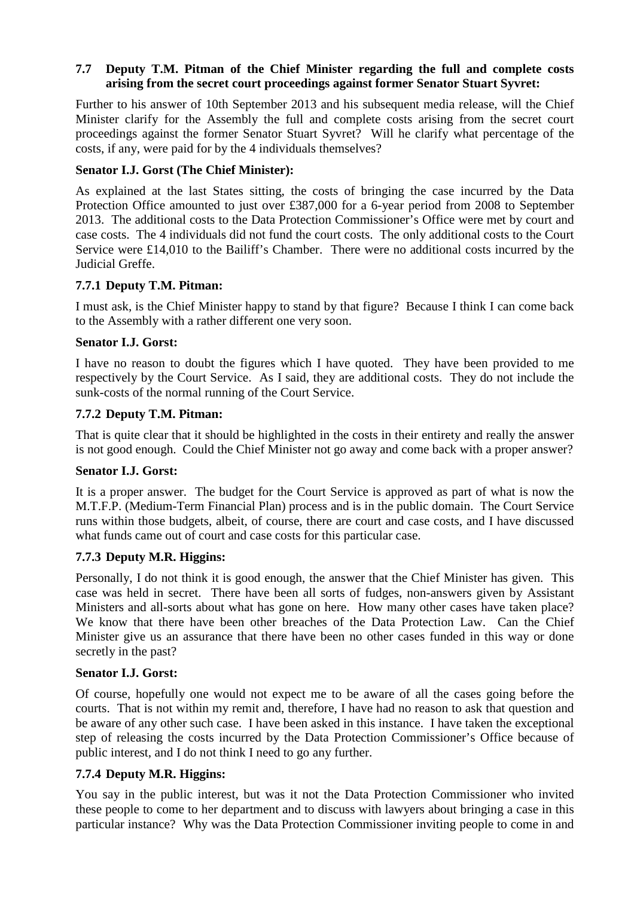#### **7.7 Deputy T.M. Pitman of the Chief Minister regarding the full and complete costs arising from the secret court proceedings against former Senator Stuart Syvret:**

Further to his answer of 10th September 2013 and his subsequent media release, will the Chief Minister clarify for the Assembly the full and complete costs arising from the secret court proceedings against the former Senator Stuart Syvret? Will he clarify what percentage of the costs, if any, were paid for by the 4 individuals themselves?

#### **Senator I.J. Gorst (The Chief Minister):**

As explained at the last States sitting, the costs of bringing the case incurred by the Data Protection Office amounted to just over £387,000 for a 6-year period from 2008 to September 2013. The additional costs to the Data Protection Commissioner's Office were met by court and case costs. The 4 individuals did not fund the court costs. The only additional costs to the Court Service were £14,010 to the Bailiff's Chamber. There were no additional costs incurred by the Judicial Greffe.

#### **7.7.1 Deputy T.M. Pitman:**

I must ask, is the Chief Minister happy to stand by that figure? Because I think I can come back to the Assembly with a rather different one very soon.

#### **Senator I.J. Gorst:**

I have no reason to doubt the figures which I have quoted. They have been provided to me respectively by the Court Service. As I said, they are additional costs. They do not include the sunk-costs of the normal running of the Court Service.

#### **7.7.2 Deputy T.M. Pitman:**

That is quite clear that it should be highlighted in the costs in their entirety and really the answer is not good enough. Could the Chief Minister not go away and come back with a proper answer?

#### **Senator I.J. Gorst:**

It is a proper answer. The budget for the Court Service is approved as part of what is now the M.T.F.P. (Medium-Term Financial Plan) process and is in the public domain. The Court Service runs within those budgets, albeit, of course, there are court and case costs, and I have discussed what funds came out of court and case costs for this particular case.

#### **7.7.3 Deputy M.R. Higgins:**

Personally, I do not think it is good enough, the answer that the Chief Minister has given. This case was held in secret. There have been all sorts of fudges, non-answers given by Assistant Ministers and all-sorts about what has gone on here. How many other cases have taken place? We know that there have been other breaches of the Data Protection Law. Can the Chief Minister give us an assurance that there have been no other cases funded in this way or done secretly in the past?

#### **Senator I.J. Gorst:**

Of course, hopefully one would not expect me to be aware of all the cases going before the courts. That is not within my remit and, therefore, I have had no reason to ask that question and be aware of any other such case. I have been asked in this instance. I have taken the exceptional step of releasing the costs incurred by the Data Protection Commissioner's Office because of public interest, and I do not think I need to go any further.

#### **7.7.4 Deputy M.R. Higgins:**

You say in the public interest, but was it not the Data Protection Commissioner who invited these people to come to her department and to discuss with lawyers about bringing a case in this particular instance? Why was the Data Protection Commissioner inviting people to come in and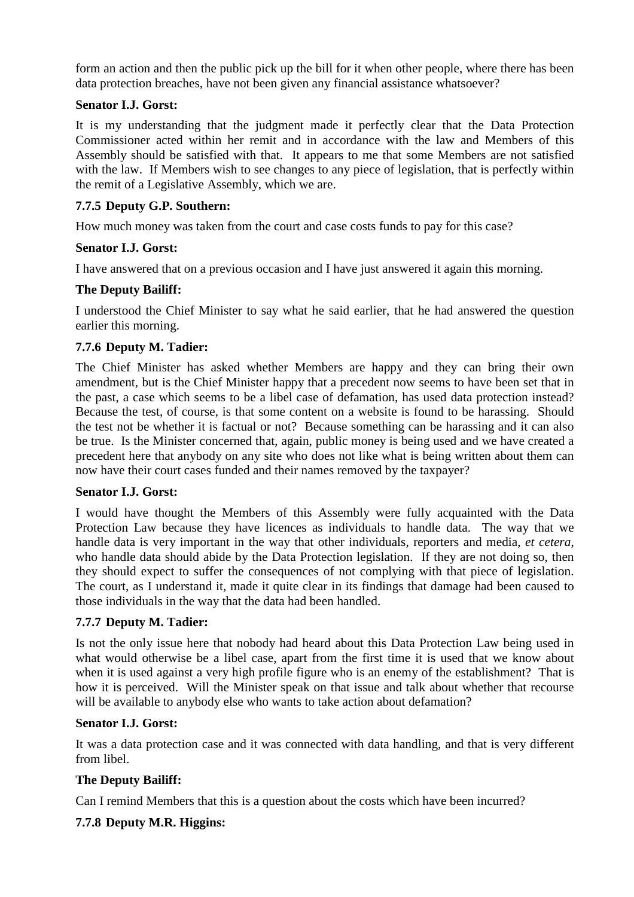form an action and then the public pick up the bill for it when other people, where there has been data protection breaches, have not been given any financial assistance whatsoever?

#### **Senator I.J. Gorst:**

It is my understanding that the judgment made it perfectly clear that the Data Protection Commissioner acted within her remit and in accordance with the law and Members of this Assembly should be satisfied with that. It appears to me that some Members are not satisfied with the law. If Members wish to see changes to any piece of legislation, that is perfectly within the remit of a Legislative Assembly, which we are.

#### **7.7.5 Deputy G.P. Southern:**

How much money was taken from the court and case costs funds to pay for this case?

#### **Senator I.J. Gorst:**

I have answered that on a previous occasion and I have just answered it again this morning.

#### **The Deputy Bailiff:**

I understood the Chief Minister to say what he said earlier, that he had answered the question earlier this morning.

#### **7.7.6 Deputy M. Tadier:**

The Chief Minister has asked whether Members are happy and they can bring their own amendment, but is the Chief Minister happy that a precedent now seems to have been set that in the past, a case which seems to be a libel case of defamation, has used data protection instead? Because the test, of course, is that some content on a website is found to be harassing. Should the test not be whether it is factual or not? Because something can be harassing and it can also be true. Is the Minister concerned that, again, public money is being used and we have created a precedent here that anybody on any site who does not like what is being written about them can now have their court cases funded and their names removed by the taxpayer?

#### **Senator I.J. Gorst:**

I would have thought the Members of this Assembly were fully acquainted with the Data Protection Law because they have licences as individuals to handle data. The way that we handle data is very important in the way that other individuals, reporters and media, *et cetera*, who handle data should abide by the Data Protection legislation. If they are not doing so, then they should expect to suffer the consequences of not complying with that piece of legislation. The court, as I understand it, made it quite clear in its findings that damage had been caused to those individuals in the way that the data had been handled.

## **7.7.7 Deputy M. Tadier:**

Is not the only issue here that nobody had heard about this Data Protection Law being used in what would otherwise be a libel case, apart from the first time it is used that we know about when it is used against a very high profile figure who is an enemy of the establishment? That is how it is perceived. Will the Minister speak on that issue and talk about whether that recourse will be available to anybody else who wants to take action about defamation?

#### **Senator I.J. Gorst:**

It was a data protection case and it was connected with data handling, and that is very different from libel.

## **The Deputy Bailiff:**

Can I remind Members that this is a question about the costs which have been incurred?

#### **7.7.8 Deputy M.R. Higgins:**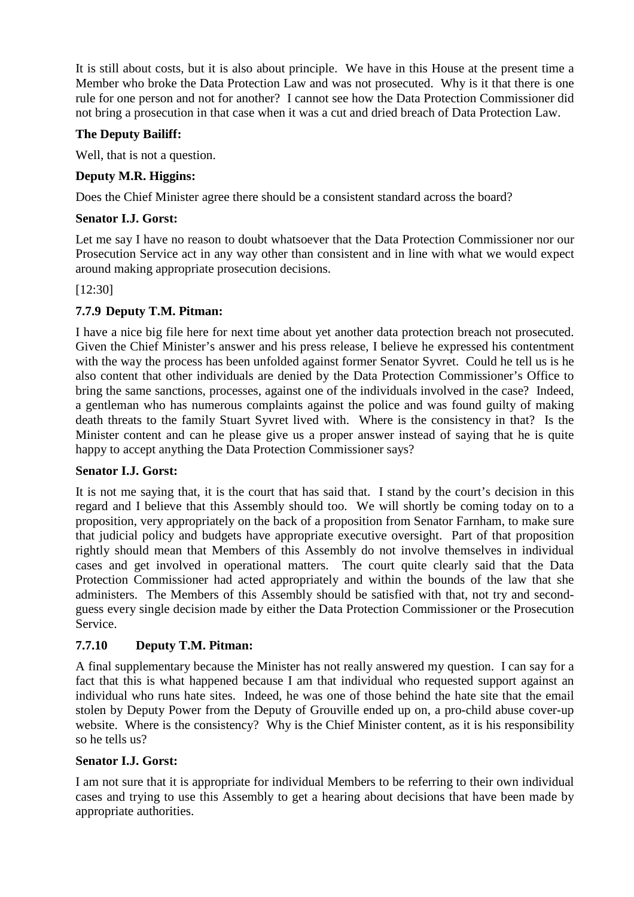It is still about costs, but it is also about principle. We have in this House at the present time a Member who broke the Data Protection Law and was not prosecuted. Why is it that there is one rule for one person and not for another? I cannot see how the Data Protection Commissioner did not bring a prosecution in that case when it was a cut and dried breach of Data Protection Law.

#### **The Deputy Bailiff:**

Well, that is not a question.

#### **Deputy M.R. Higgins:**

Does the Chief Minister agree there should be a consistent standard across the board?

#### **Senator I.J. Gorst:**

Let me say I have no reason to doubt whatsoever that the Data Protection Commissioner nor our Prosecution Service act in any way other than consistent and in line with what we would expect around making appropriate prosecution decisions.

#### [12:30]

#### **7.7.9 Deputy T.M. Pitman:**

I have a nice big file here for next time about yet another data protection breach not prosecuted. Given the Chief Minister's answer and his press release, I believe he expressed his contentment with the way the process has been unfolded against former Senator Syvret. Could he tell us is he also content that other individuals are denied by the Data Protection Commissioner's Office to bring the same sanctions, processes, against one of the individuals involved in the case? Indeed, a gentleman who has numerous complaints against the police and was found guilty of making death threats to the family Stuart Syvret lived with. Where is the consistency in that? Is the Minister content and can he please give us a proper answer instead of saying that he is quite happy to accept anything the Data Protection Commissioner says?

#### **Senator I.J. Gorst:**

It is not me saying that, it is the court that has said that. I stand by the court's decision in this regard and I believe that this Assembly should too. We will shortly be coming today on to a proposition, very appropriately on the back of a proposition from Senator Farnham, to make sure that judicial policy and budgets have appropriate executive oversight. Part of that proposition rightly should mean that Members of this Assembly do not involve themselves in individual cases and get involved in operational matters. The court quite clearly said that the Data Protection Commissioner had acted appropriately and within the bounds of the law that she administers. The Members of this Assembly should be satisfied with that, not try and secondguess every single decision made by either the Data Protection Commissioner or the Prosecution Service.

## **7.7.10 Deputy T.M. Pitman:**

A final supplementary because the Minister has not really answered my question. I can say for a fact that this is what happened because I am that individual who requested support against an individual who runs hate sites. Indeed, he was one of those behind the hate site that the email stolen by Deputy Power from the Deputy of Grouville ended up on, a pro-child abuse cover-up website. Where is the consistency? Why is the Chief Minister content, as it is his responsibility so he tells us?

#### **Senator I.J. Gorst:**

I am not sure that it is appropriate for individual Members to be referring to their own individual cases and trying to use this Assembly to get a hearing about decisions that have been made by appropriate authorities.